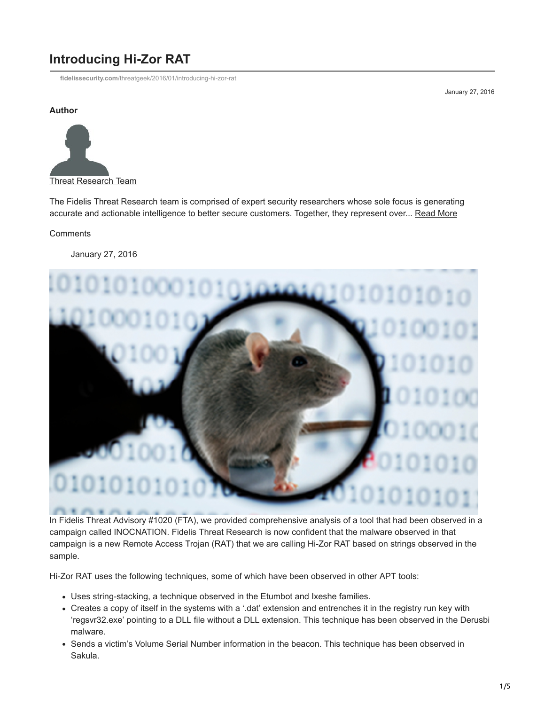# **Introducing Hi-Zor RAT**

**fidelissecurity.com**[/threatgeek/2016/01/introducing-hi-zor-rat](https://www.fidelissecurity.com/threatgeek/2016/01/introducing-hi-zor-rat)

January 27, 2016

#### **Author**



The Fidelis Threat Research team is comprised of expert security researchers whose sole focus is generating accurate and actionable intelligence to better secure customers. Together, they represent over... [Read More](https://fidelissecurity.com/threatgeek/author/threat-research-team/)

#### **Comments**

January 27, 2016



In Fidelis Threat Advisory #1020 (FTA), we provided comprehensive analysis of a tool that had been observed in a campaign called INOCNATION. Fidelis Threat Research is now confident that the malware observed in that campaign is a new Remote Access Trojan (RAT) that we are calling Hi-Zor RAT based on strings observed in the sample.

Hi-Zor RAT uses the following techniques, some of which have been observed in other APT tools:

- Uses string-stacking, a technique observed in the Etumbot and Ixeshe families.
- Creates a copy of itself in the systems with a '.dat' extension and entrenches it in the registry run key with 'regsvr32.exe' pointing to a DLL file without a DLL extension. This technique has been observed in the Derusbi malware.
- Sends a victim's Volume Serial Number information in the beacon. This technique has been observed in Sakula.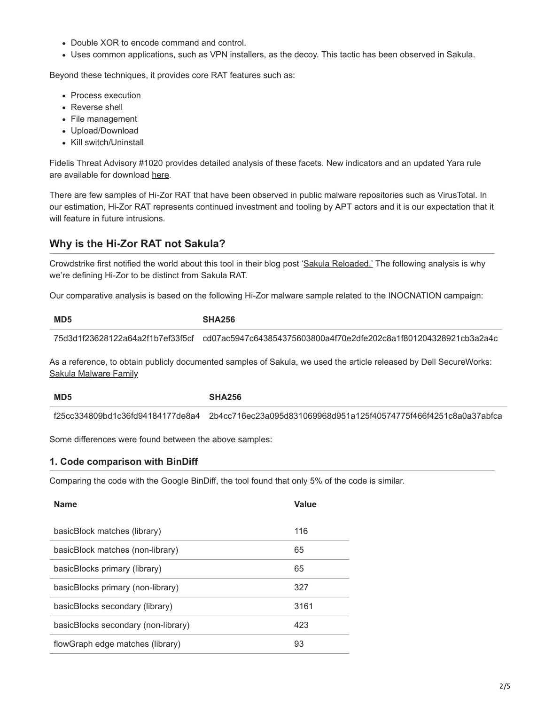- Double XOR to encode command and control.
- Uses common applications, such as VPN installers, as the decoy. This tactic has been observed in Sakula.

Beyond these techniques, it provides core RAT features such as:

- Process execution
- Reverse shell
- File management
- Upload/Download
- Kill switch/Uninstall

Fidelis Threat Advisory #1020 provides detailed analysis of these facets. New indicators and an updated Yara rule are available for download [here](https://github.com/fideliscyber).

There are few samples of Hi-Zor RAT that have been observed in public malware repositories such as VirusTotal. In our estimation, Hi-Zor RAT represents continued investment and tooling by APT actors and it is our expectation that it will feature in future intrusions.

## **Why is the Hi-Zor RAT not Sakula?**

Crowdstrike first notified the world about this tool in their blog post '[Sakula Reloaded.'](https://www.crowdstrike.com/blog/sakula-reloaded/) The following analysis is why we're defining Hi-Zor to be distinct from Sakula RAT.

Our comparative analysis is based on the following Hi-Zor malware sample related to the INOCNATION campaign:

| MD5                              | <b>SHA256</b>                                                    |
|----------------------------------|------------------------------------------------------------------|
| 75d3d1f23628122a64a2f1b7ef33f5cf | cd07ac5947c643854375603800a4f70e2dfe202c8a1f801204328921cb3a2a4c |

As a reference, to obtain publicly documented samples of Sakula, we used the article released by Dell SecureWorks: [Sakula Malware Family](https://www.secureworks.com/cyber-threat-intelligence/threats/sakula-malware-family/)

**MD5 SHA256**

f25cc334809bd1c36fd94184177de8a4 2b4cc716ec23a095d831069968d951a125f40574775f466f4251c8a0a37abfca

Some differences were found between the above samples:

#### **1. Code comparison with BinDiff**

Comparing the code with the Google BinDiff, the tool found that only 5% of the code is similar.

| <b>Name</b>                         | <b>Value</b> |
|-------------------------------------|--------------|
| basicBlock matches (library)        | 116          |
| basicBlock matches (non-library)    | 65           |
| basicBlocks primary (library)       | 65           |
| basicBlocks primary (non-library)   | 327          |
| basicBlocks secondary (library)     | 3161         |
| basicBlocks secondary (non-library) | 423          |
| flowGraph edge matches (library)    | 93           |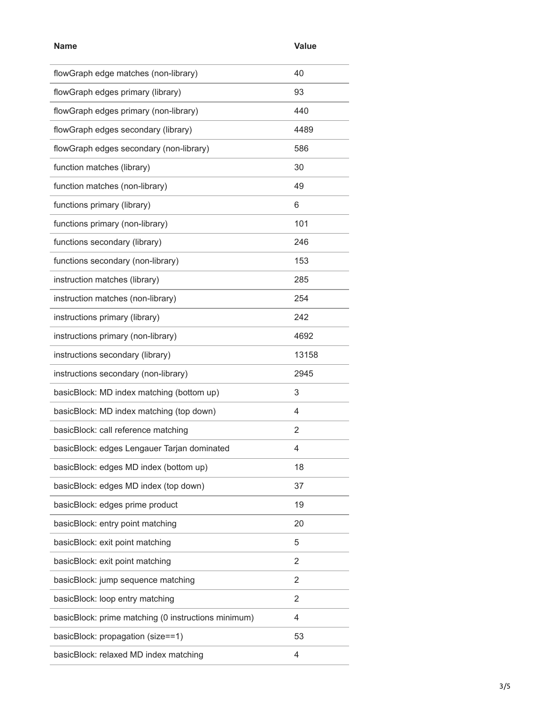| <b>Name</b>                                         | <b>Value</b> |
|-----------------------------------------------------|--------------|
| flowGraph edge matches (non-library)                | 40           |
| flowGraph edges primary (library)                   | 93           |
| flowGraph edges primary (non-library)               | 440          |
| flowGraph edges secondary (library)                 | 4489         |
| flowGraph edges secondary (non-library)             | 586          |
| function matches (library)                          | 30           |
| function matches (non-library)                      | 49           |
| functions primary (library)                         | 6            |
| functions primary (non-library)                     | 101          |
| functions secondary (library)                       | 246          |
| functions secondary (non-library)                   | 153          |
| instruction matches (library)                       | 285          |
| instruction matches (non-library)                   | 254          |
| instructions primary (library)                      | 242          |
| instructions primary (non-library)                  | 4692         |
| instructions secondary (library)                    | 13158        |
| instructions secondary (non-library)                | 2945         |
| basicBlock: MD index matching (bottom up)           | 3            |
| basicBlock: MD index matching (top down)            | 4            |
| basicBlock: call reference matching                 | 2            |
| basicBlock: edges Lengauer Tarjan dominated         | 4            |
| basicBlock: edges MD index (bottom up)              | 18           |
| basicBlock: edges MD index (top down)               | 37           |
| basicBlock: edges prime product                     | 19           |
| basicBlock: entry point matching                    | 20           |
| basicBlock: exit point matching                     | 5            |
| basicBlock: exit point matching                     | 2            |
| basicBlock: jump sequence matching                  | 2            |
| basicBlock: loop entry matching                     | 2            |
| basicBlock: prime matching (0 instructions minimum) | 4            |
| basicBlock: propagation (size==1)                   | 53           |
| basicBlock: relaxed MD index matching               | 4            |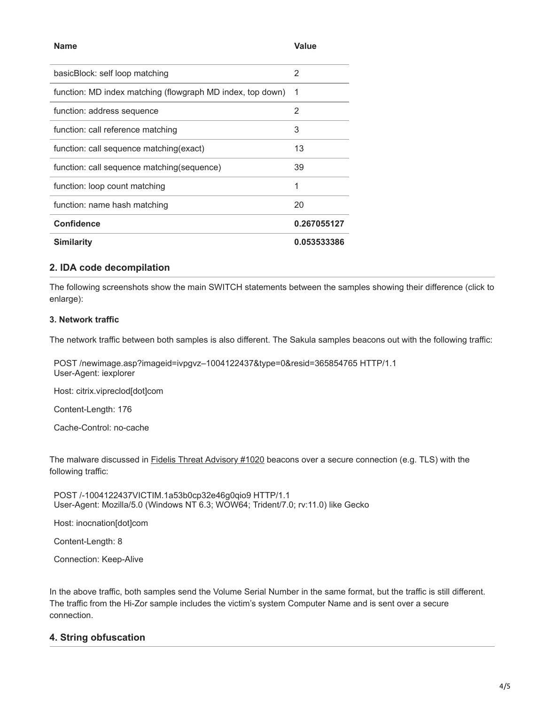| <b>Name</b>                                                | <b>Value</b> |
|------------------------------------------------------------|--------------|
| basicBlock: self loop matching                             | 2            |
| function: MD index matching (flowgraph MD index, top down) | -1           |
| function: address sequence                                 | 2            |
| function: call reference matching                          | 3            |
| function: call sequence matching(exact)                    | 13           |
| function: call sequence matching (sequence)                | 39           |
| function: loop count matching                              | 1            |
| function: name hash matching                               | 20           |
| <b>Confidence</b>                                          | 0.267055127  |
| <b>Similarity</b>                                          | 0.053533386  |

#### **2. IDA code decompilation**

The following screenshots show the main SWITCH statements between the samples showing their difference (click to enlarge):

#### **3. Network traffic**

The network traffic between both samples is also different. The Sakula samples beacons out with the following traffic:

POST /newimage.asp?imageid=ivpgvz–1004122437&type=0&resid=365854765 HTTP/1.1 User-Agent: iexplorer

Host: citrix.vipreclod[dot]com

Content-Length: 176

Cache-Control: no-cache

The malware discussed in **[Fidelis Threat Advisory #1020](https://fidelissecurity.com/sites/default/files/FTA_1020_Fidelis_Inocnation_FINAL.pdf)** beacons over a secure connection (e.g. TLS) with the following traffic:

POST /-1004122437VICTIM.1a53b0cp32e46g0qio9 HTTP/1.1 User-Agent: Mozilla/5.0 (Windows NT 6.3; WOW64; Trident/7.0; rv:11.0) like Gecko

Host: inocnation[dot]com

Content-Length: 8

Connection: Keep-Alive

In the above traffic, both samples send the Volume Serial Number in the same format, but the traffic is still different. The traffic from the Hi-Zor sample includes the victim's system Computer Name and is sent over a secure connection.

#### **4. String obfuscation**